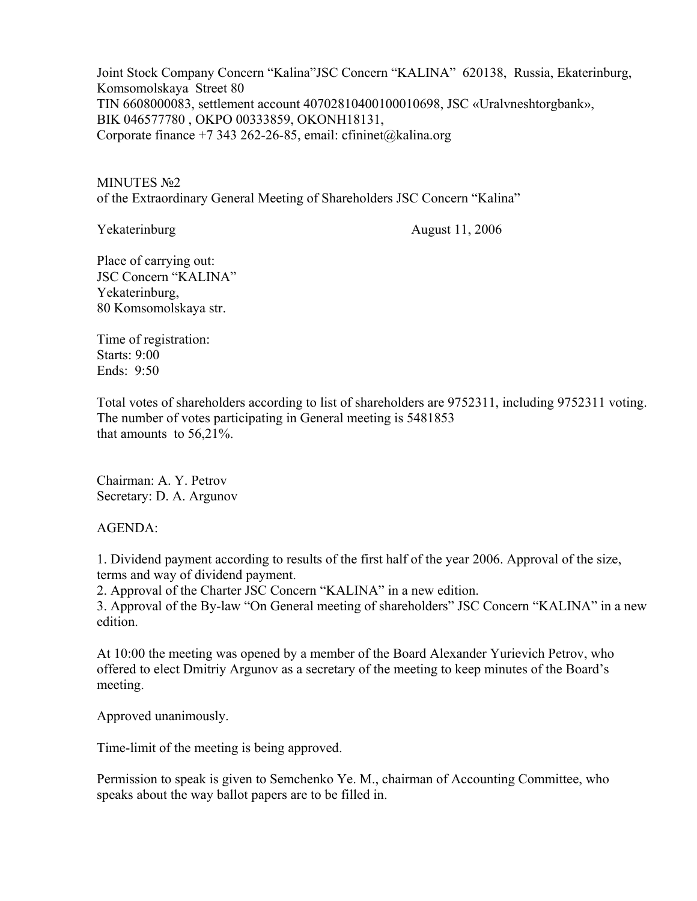Joint Stock Company Concern "Kalina"JSC Concern "KALINA" 620138, Russia, Ekaterinburg, Komsomolskaya Street 80 TIN 6608000083, settlement account 40702810400100010698, JSC «Uralvneshtorgbank», BIK 046577780 , OKPO 00333859, OKONH18131, Corporate finance +7 343 262-26-85, email: cfininet@kalina.org

MINUTES №2 of the Extraordinary General Meeting of Shareholders JSC Concern "Kalina"

Yekaterinburg August 11, 2006

Place of carrying out: JSC Concern "KALINA" Yekaterinburg, 80 Komsomolskaya str.

Time of registration: Starts: 9:00 Ends: 9:50

Total votes of shareholders according to list of shareholders are 9752311, including 9752311 voting. The number of votes participating in General meeting is 5481853 that amounts to 56,21%.

Chairman: A. Y. Petrov Secretary: D. A. Argunov

AGENDA:

1. Dividend payment according to results of the first half of the year 2006. Approval of the size, terms and way of dividend payment.

2. Approval of the Charter JSC Concern "KALINA" in a new edition.

3. Approval of the By-law "On General meeting of shareholders" JSC Concern "KALINA" in a new edition.

At 10:00 the meeting was opened by a member of the Board Alexander Yurievich Petrov, who offered to elect Dmitriy Argunov as a secretary of the meeting to keep minutes of the Board's meeting.

Approved unanimously.

Time-limit of the meeting is being approved.

Permission to speak is given to Semchenko Ye. M., chairman of Accounting Committee, who speaks about the way ballot papers are to be filled in.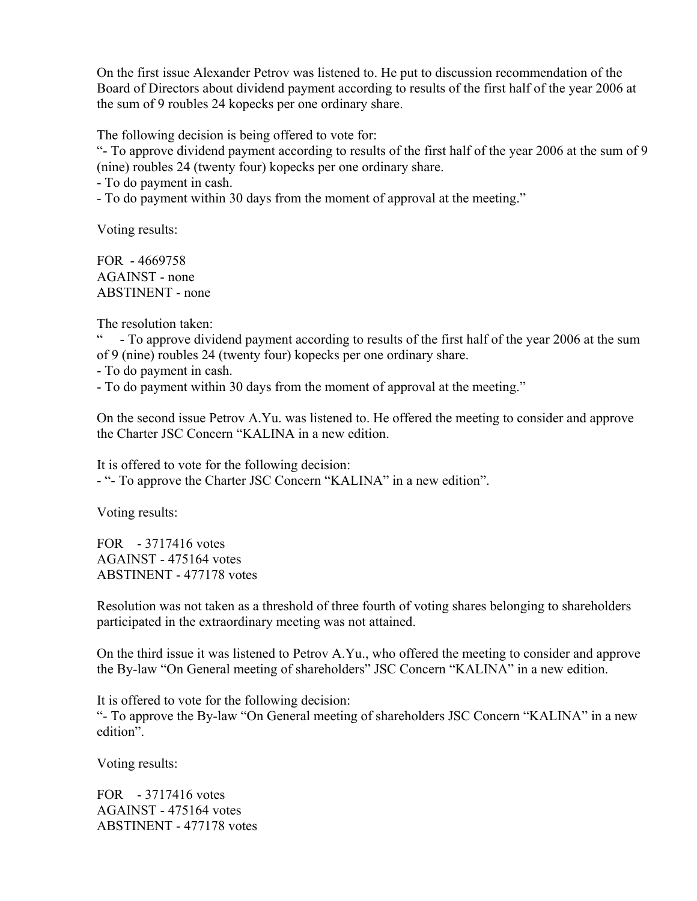On the first issue Alexander Petrov was listened to. He put to discussion recommendation of the Board of Directors about dividend payment according to results of the first half of the year 2006 at the sum of 9 roubles 24 kopecks per one ordinary share.

The following decision is being offered to vote for:

"- To approve dividend payment according to results of the first half of the year 2006 at the sum of 9 (nine) roubles 24 (twenty four) kopecks per one ordinary share.

- To do payment in cash.

- To do payment within 30 days from the moment of approval at the meeting."

Voting results:

FOR - 4669758 AGAINST - none ABSTINENT - none

The resolution taken:

" - To approve dividend payment according to results of the first half of the year 2006 at the sum of 9 (nine) roubles 24 (twenty four) kopecks per one ordinary share.

- To do payment in cash.

- To do payment within 30 days from the moment of approval at the meeting."

On the second issue Petrov A.Yu. was listened to. He offered the meeting to consider and approve the Charter JSC Concern "KALINA in a new edition.

It is offered to vote for the following decision: - "- To approve the Charter JSC Concern "KALINA" in a new edition".

Voting results:

FOR - 3717416 votes AGAINST - 475164 votes ABSTINENT - 477178 votes

Resolution was not taken as a threshold of three fourth of voting shares belonging to shareholders participated in the extraordinary meeting was not attained.

On the third issue it was listened to Petrov A.Yu., who offered the meeting to consider and approve the By-law "On General meeting of shareholders" JSC Concern "KALINA" in a new edition.

It is offered to vote for the following decision: "- To approve the By-law "On General meeting of shareholders JSC Concern "KALINA" in a new edition".

Voting results:

FOR - 3717416 votes AGAINST - 475164 votes ABSTINENT - 477178 votes